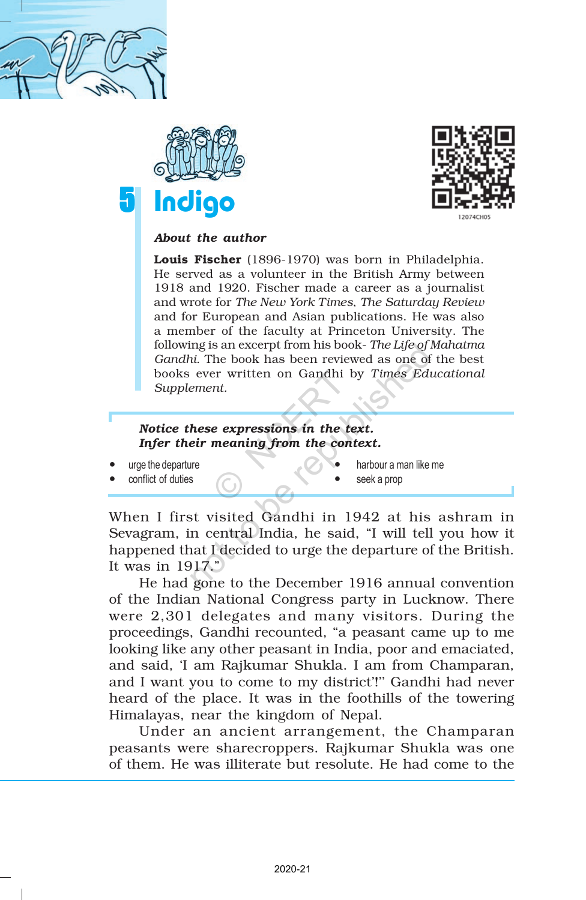





## *About the author*

Louis Fischer (1896-1970) was born in Philadelphia. He served as a volunteer in the British Army between 1918 and 1920. Fischer made a career as a journalist and wrote for *The New York Times*, *The Saturday Review* and for European and Asian publications. He was also a member of the faculty at Princeton University. The following is an excerpt from his book- *The Life of Mahatma Gandhi*. The book has been reviewed as one of the best books ever written on Gandhi by *Times Educational Supplement.*

### *Notice these expressions in the text. Infer their meaning from the context.*

- 
- conflict of duties and the seek a prop
- $u$ rge the departure  $\Box$ 
	-

When I first visited Gandhi in 1942 at his ashram in Sevagram, in central India, he said, "I will tell you how it happened that I decided to urge the departure of the British. It was in  $1917$ ." may is an excerpt from his book-The Lye of it.<br>The book has been reviewed as one of<br>ever written on Gandhi by Times Edu<br>ement.<br>**hese expressions in the text.**<br>**eir meaning from the context.**<br>Figure the context.<br>In the cont

He had gone to the December 1916 annual convention of the Indian National Congress party in Lucknow. There were 2,301 delegates and many visitors. During the proceedings, Gandhi recounted, "a peasant came up to me looking like any other peasant in India, poor and emaciated, and said, 'I am Rajkumar Shukla. I am from Champaran, and I want you to come to my district'!'' Gandhi had never heard of the place. It was in the foothills of the towering Himalayas, near the kingdom of Nepal. er written on Gandhi beat that the meaning from the control meaning from the control meaning from the control of the control of the said I decided to urge the order the control of the December 1 Vational Congress parallel

Under an ancient arrangement, the Champaran peasants were sharecroppers. Rajkumar Shukla was one of them. He was illiterate but resolute. He had come to the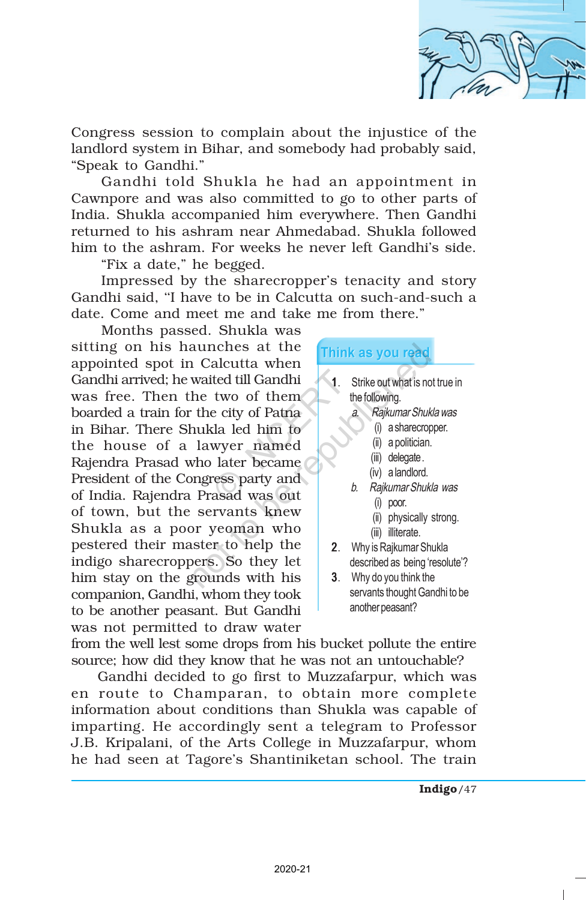

Congress session to complain about the injustice of the landlord system in Bihar, and somebody had probably said, "Speak to Gandhi."

Gandhi told Shukla he had an appointment in Cawnpore and was also committed to go to other parts of India. Shukla accompanied him everywhere. Then Gandhi returned to his ashram near Ahmedabad. Shukla followed him to the ashram. For weeks he never left Gandhi's side.

"Fix a date," he begged.

Impressed by the sharecropper's tenacity and story Gandhi said, ''I have to be in Calcutta on such-and-such a date. Come and meet me and take me from there."

Months passed. Shukla was sitting on his haunches at the appointed spot in Calcutta when Gandhi arrived; he waited till Gandhi was free. Then the two of them boarded a train for the city of Patna in Bihar. There Shukla led him to the house of a lawyer named Rajendra Prasad who later became President of the Congress party and of India. Rajendra Prasad was out of town, but the servants knew Shukla as a poor yeoman who pestered their master to help the indigo sharecroppers. So they let him stay on the grounds with his companion, Gandhi, whom they took to be another peasant. But Gandhi was not permitted to draw water ited till Gandhi<br>
two of them<br>
e city of Patna<br>
cla led him to<br>
wyer named<br>
later became<br>
ress party and<br>
asad was out<br>
rrvants knew<br>
yeoman who<br>
r to help the<br>
s. So they let<br>
ands with his<br>
8. So they let<br>
ands with his<br> aunches at the<br>
waited till Gandhi<br>
the two of them<br>
the city of Patna<br>
the following.<br>
the city of Patna<br>
the following.<br>
the city of Patna<br>
the following.<br>
the following.<br>
the following.<br>
the following.<br>
the following.<br>

- Strike out what is not true in the following.
	- a. Rajkumar Shukla was
		- (i) a sharecropper.
		- (ii) a politician.
		- (iii) delegate.
		- (iv) a landlord.
	- b. Rajkumar Shukla was
		- (i) poor.
		- (ii) physically strong.
		- (iii) illiterate.
- 2. Why is Rajkumar Shukla described as being 'resolute'?
- 3. Why do you think the servants thought Gandhi to be another peasant?

from the well lest some drops from his bucket pollute the entire source; how did they know that he was not an untouchable?

Gandhi decided to go first to Muzzafarpur, which was en route to Champaran, to obtain more complete information about conditions than Shukla was capable of imparting. He accordingly sent a telegram to Professor J.B. Kripalani, of the Arts College in Muzzafarpur, whom he had seen at Tagore's Shantiniketan school. The train

Indigo/47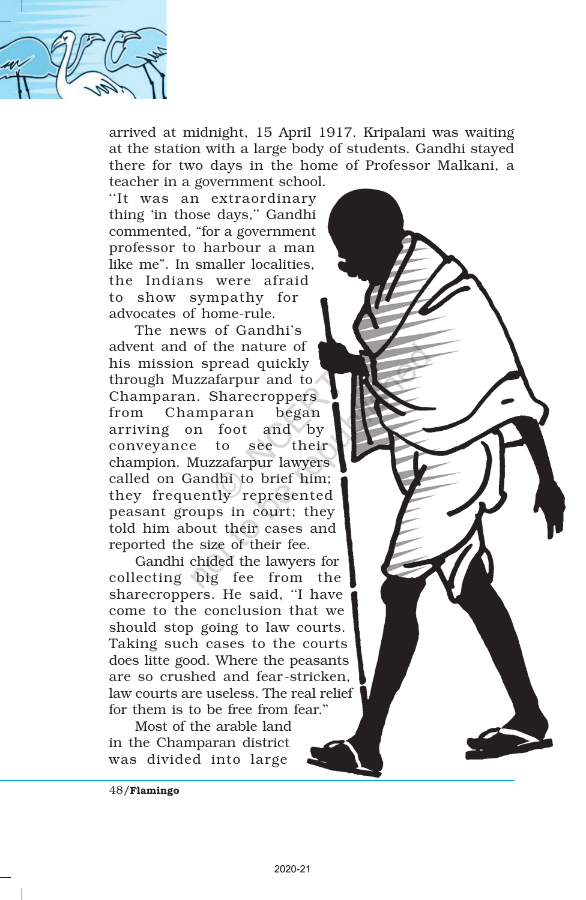

arrived at midnight, 15 April 1917. Kripalani was waiting at the station with a large body of students. Gandhi stayed there for two days in the home of Professor Malkani, a teacher in a government school.

''It was an extraordinary thing 'in those days,'' Gandhi commented, "for a government professor to harbour a man like me". In smaller localities, the Indians were afraid to show sympathy for advocates of home-rule.

The news of Gandhi's advent and of the nature of his mission spread quickly through Muzzafarpur and to Champaran. Sharecroppers from Champaran began arriving on foot and by conveyance to see their champion. Muzzafarpur lawyers called on Gandhi to brief him; they frequently represented peasant groups in court; they told him about their cases and reported the size of their fee. of the nature of<br>
n spread quickly<br>
uzzafarpur and to<br>
n. Sharecroppers<br>
amparan began<br>
on foot and by<br>
e to see their<br>
Muzzafarpur lawyers<br>
kandhi to brief him;<br>
lently represented<br>
oups in court; they<br>
bout their cases a

Gandhi chided the lawyers for collecting big fee from the sharecroppers. He said, ''I have come to the conclusion that we should stop going to law courts. Taking such cases to the courts does litte good. Where the peasants are so crushed and fear-stricken, law courts are useless. The real relief for them is to be free from fear.'' Matarpur and to<br>Sharecroppers<br>paran began<br>foot and by<br>to see their<br>zzafarpur lawyers<br>dhi to brief him;<br>tly represented<br>os in court; they<br>t their cases and<br>zee of their fee.<br>ded the lawyers for<br>g fee from the<br>. He said, "I

Most of the arable land in the Champaran district was divided into large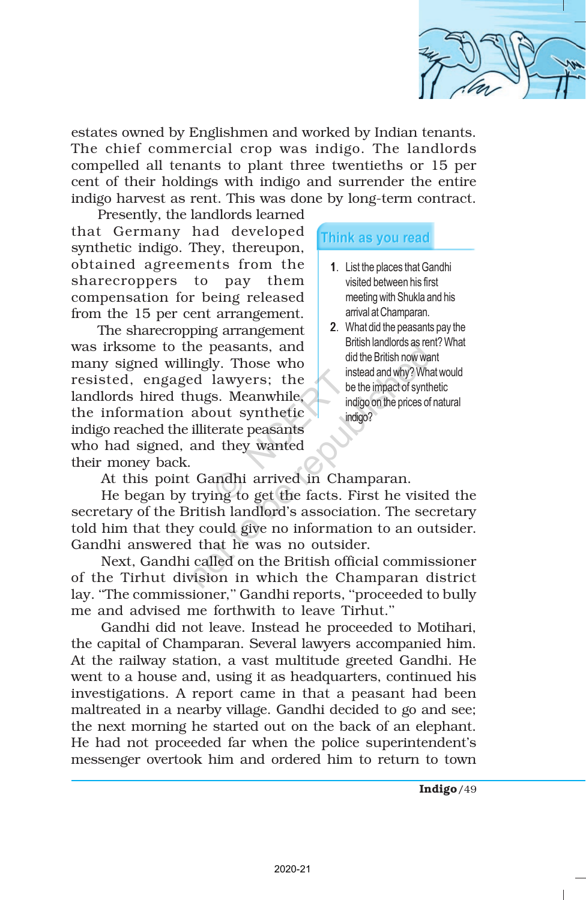

estates owned by Englishmen and worked by Indian tenants. The chief commercial crop was indigo. The landlords compelled all tenants to plant three twentieths or 15 per cent of their holdings with indigo and surrender the entire indigo harvest as rent. This was done by long-term contract.

Presently, the landlords learned that Germany had developed synthetic indigo. They, thereupon, obtained agreements from the sharecroppers to pay them compensation for being released from the 15 per cent arrangement.

The sharecropping arrangement was irksome to the peasants, and many signed willingly. Those who resisted, engaged lawyers; the landlords hired thugs. Meanwhile, the information about synthetic indigo reached the illiterate peasants who had signed, and they wanted their money back.

## Think as you read

- 1. List the places that Gandhi visited between his first meeting with Shukla and his arrival at Champaran.
- 2. What did the peasants pay the British landlords as rent? What did the British now want instead and why? What would be the impact of synthetic indigo on the prices of natural indigo?

At this point Gandhi arrived in Champaran.

He began by trying to get the facts. First he visited the secretary of the British landlord's association. The secretary told him that they could give no information to an outsider. Gandhi answered that he was no outsider. not be reasonts, and<br>
ingly. Those who<br>
ed lawyers; the<br>
helphishnow instead and why? Wha<br>
indigo on the prices of<br>
indigo?<br>
illiterate peasants<br>
and they wanted<br>
Gandhi arrived in Champaran.<br>
trying to get the facts. Firs

Next, Gandhi called on the British official commissioner of the Tirhut division in which the Champaran district lay. ''The commissioner,'' Gandhi reports, ''proceeded to bully me and advised me forthwith to leave Tirhut.''

Gandhi did not leave. Instead he proceeded to Motihari, the capital of Champaran. Several lawyers accompanied him. At the railway station, a vast multitude greeted Gandhi. He went to a house and, using it as headquarters, continued his investigations. A report came in that a peasant had been maltreated in a nearby village. Gandhi decided to go and see; the next morning he started out on the back of an elephant. He had not proceeded far when the police superintendent's messenger overtook him and ordered him to return to town Nawyers; the<br>
S. Meanwhile,<br>
S. Meanwhile,<br>
out synthetic inclusions into<br>
erate peasants<br>
1 they wanted<br>
andhi arrived in Cha<br>
ing to get the facts. F<br>
sh landlord's associat<br>
uuld give no informati<br>
at he was no outsid<br>

Indigo/49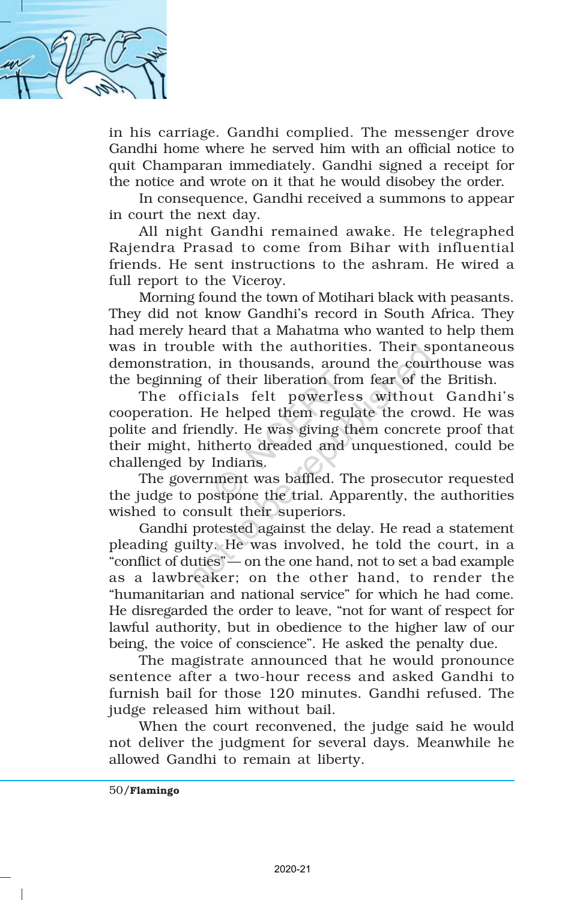

in his carriage. Gandhi complied. The messenger drove Gandhi home where he served him with an official notice to quit Champaran immediately. Gandhi signed a receipt for the notice and wrote on it that he would disobey the order.

In consequence, Gandhi received a summons to appear in court the next day.

All night Gandhi remained awake. He telegraphed Rajendra Prasad to come from Bihar with influential friends. He sent instructions to the ashram. He wired a full report to the Viceroy.

Morning found the town of Motihari black with peasants. They did not know Gandhi's record in South Africa. They had merely heard that a Mahatma who wanted to help them was in trouble with the authorities. Their spontaneous demonstration, in thousands, around the courthouse was the beginning of their liberation from fear of the British.

The officials felt powerless without Gandhi's cooperation. He helped them regulate the crowd. He was polite and friendly. He was giving them concrete proof that their might, hitherto dreaded and unquestioned, could be challenged by Indians. ible with the authorities. Their s<br>on, in thousands, around the coun<br>ng of their liberation from fear of th<br>fficials felt powerless without<br>. He helped them regulate the cro<br>riendly. He was giving them concret<br>hitherto dre

The government was baffled. The prosecutor requested the judge to postpone the trial. Apparently, the authorities wished to consult their superiors.

Gandhi protested against the delay. He read a statement pleading guilty. He was involved, he told the court, in a "conflict of duties"— on the one hand, not to set a bad example as a lawbreaker; on the other hand, to render the "humanitarian and national service" for which he had come. He disregarded the order to leave, "not for want of respect for lawful authority, but in obedience to the higher law of our being, the voice of conscience". He asked the penalty due. of their liberation from<br>
ials felt powerles<br>
e helped them regul<br>
ddly. He was giving th<br>
therto dreaded and 1<br>
Indians.<br>
ment was baffled. The<br>
step to the trial. App<br>
sult their superiors.<br>
tested against the del<br>
e.<br>
t

The magistrate announced that he would pronounce sentence after a two-hour recess and asked Gandhi to furnish bail for those 120 minutes. Gandhi refused. The judge released him without bail.

When the court reconvened, the judge said he would not deliver the judgment for several days. Meanwhile he allowed Gandhi to remain at liberty.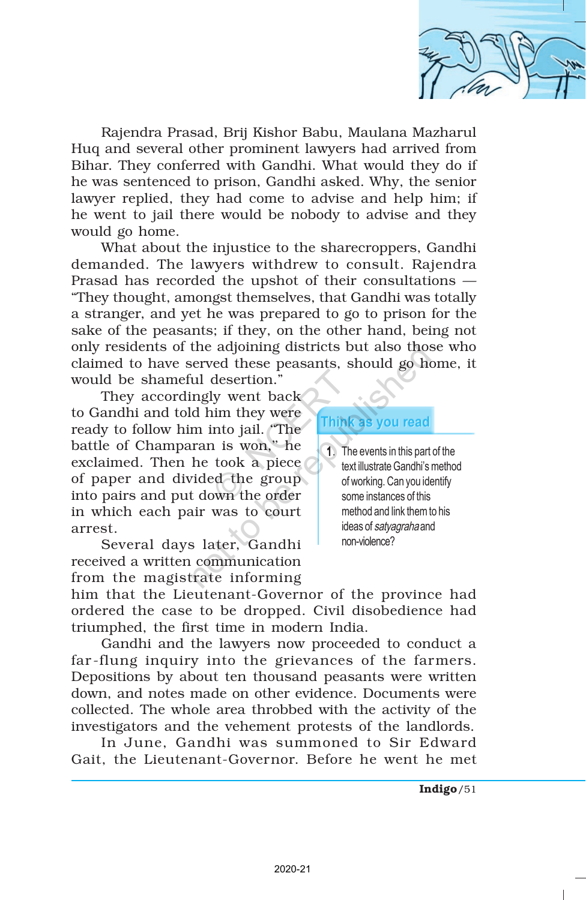

Rajendra Prasad, Brij Kishor Babu, Maulana Mazharul Huq and several other prominent lawyers had arrived from Bihar. They conferred with Gandhi. What would they do if he was sentenced to prison, Gandhi asked. Why, the senior lawyer replied, they had come to advise and help him; if he went to jail there would be nobody to advise and they would go home.

What about the injustice to the sharecroppers, Gandhi demanded. The lawyers withdrew to consult. Rajendra Prasad has recorded the upshot of their consultations — "They thought, amongst themselves, that Gandhi was totally a stranger, and yet he was prepared to go to prison for the sake of the peasants; if they, on the other hand, being not only residents of the adjoining districts but also those who claimed to have served these peasants, should go home, it would be shameful desertion."

They accordingly went back to Gandhi and told him they were ready to follow him into jail. ''The battle of Champaran is won,'' he exclaimed. Then he took a piece of paper and divided the group into pairs and put down the order in which each pair was to court arrest. the adjoining districts but also those<br>
served these peasants, should go he<br>
iul desertion."<br>
Ingly went back<br>
d him they were<br>
m into jail. "The<br>
ran is won," he<br>
he took a piece<br>
it down the order<br>
rate for the textillus

Several days later, Gandhi received a written communication from the magistrate informing

1. The events in this part of the text illustrate Gandhi's method of working. Can you identify some instances of this method and link them to his ideas of satyagraha and non-violence?

him that the Lieutenant-Governor of the province had ordered the case to be dropped. Civil disobedience had triumphed, the first time in modern India.

Gandhi and the lawyers now proceeded to conduct a far -flung inquiry into the grievances of the farmers. Depositions by about ten thousand peasants were written down, and notes made on other evidence. Documents were collected. The whole area throbbed with the activity of the investigators and the vehement protests of the landlords. desertion."<br>
ly went back<br>
im they were<br>
into jail. "The<br>
1 is won," he<br>
took a piece<br>
ed the group<br>
own the order sor<br>
was to court me<br>
ide<br>
was to court me<br>
ide<br>
ter, Gandhi<br>
minumication<br>
ter, Gandhi<br>
minumication<br>
ter,

In June, Gandhi was summoned to Sir Edward Gait, the Lieutenant-Governor. Before he went he met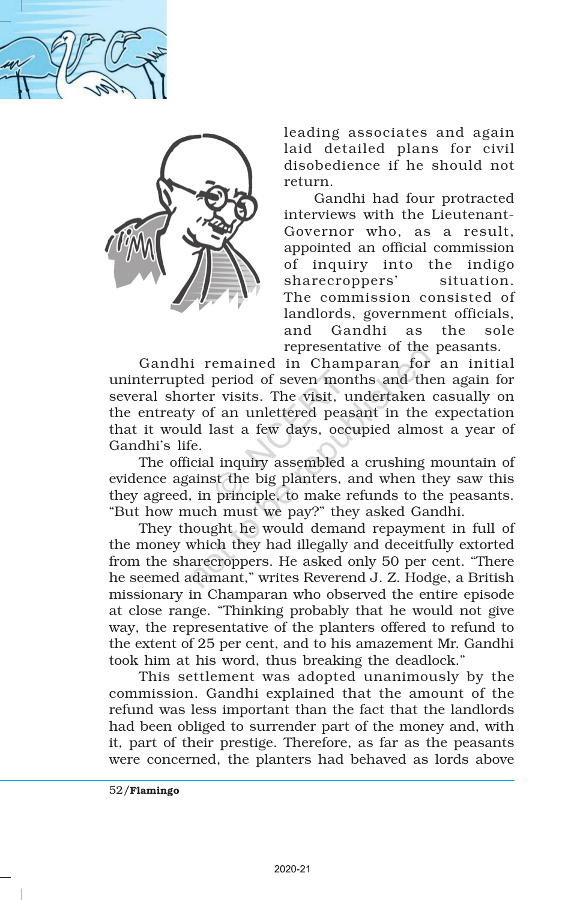



leading associates and again laid detailed plans for civil disobedience if he should not return.

Gandhi had four protracted interviews with the Lieutenant-Governor who, as a result, appointed an official commission of inquiry into the indigo sharecroppers' situation. The commission consisted of landlords, government officials, and Gandhi as the sole representative of the peasants.

Gandhi remained in Champaran for an initial uninterrupted period of seven months and then again for several shorter visits. The visit, undertaken casually on the entreaty of an unlettered peasant in the expectation that it would last a few days, occupied almost a year of Gandhi's life. representative of the<br>i remained in Champaran for<br>ed period of seven months and the<br>rter visits. The visit, undertaken<br>y of an unlettered peasant in the<br>ld last a few days, occupied almo<br>i.e.<br>cial inquiry assembled a crush

The official inquiry assembled a crushing mountain of evidence against the big planters, and when they saw this they agreed, in principle, to make refunds to the peasants. "But how much must we pay?" they asked Gandhi.

They thought he would demand repayment in full of the money which they had illegally and deceitfully extorted from the sharecroppers. He asked only 50 per cent. "There he seemed adamant," writes Reverend J. Z. Hodge, a British missionary in Champaran who observed the entire episode at close range. "Thinking probably that he would not give way, the representative of the planters offered to refund to the extent of 25 per cent, and to his amazement Mr. Gandhi took him at his word, thus breaking the deadlock." period of seven mon<br>
r visits. The visit, u<br>
f an unlettered peas<br>
last a few days, occu<br>
l inquiry assembled a<br>
st the big planters, a<br>
principle, to make re<br>
th must we pay?" they<br>
ght he would deman<br>
ch they had illegal

This settlement was adopted unanimously by the commission. Gandhi explained that the amount of the refund was less important than the fact that the landlords had been obliged to surrender part of the money and, with it, part of their prestige. Therefore, as far as the peasants were concerned, the planters had behaved as lords above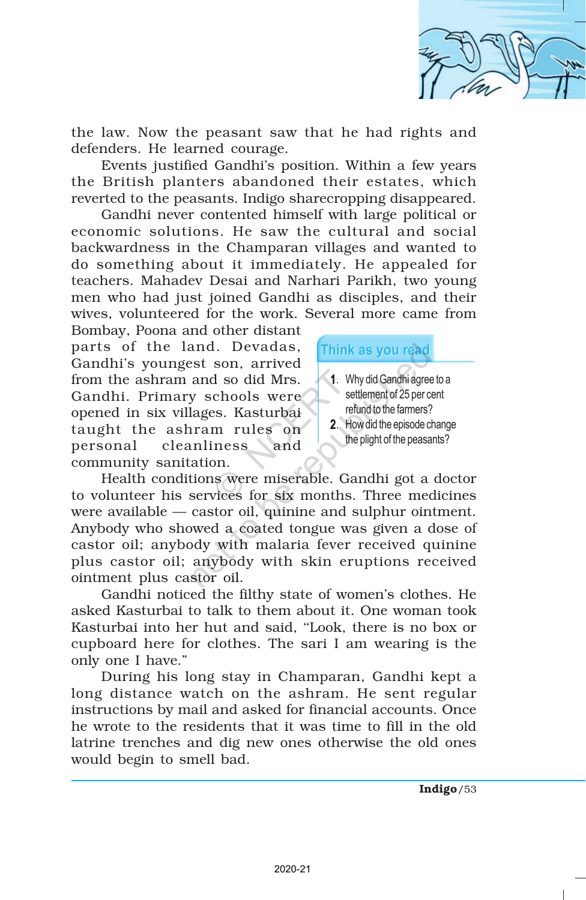

the law. Now the peasant saw that he had rights and defenders. He learned courage.

Events justified Gandhi's position. Within a few years the British planters abandoned their estates, which reverted to the peasants. Indigo sharecropping disappeared.

Gandhi never contented himself with large political or economic solutions. He saw the cultural and social backwardness in the Champaran villages and wanted to do something about it immediately. He appealed for teachers. Mahadev Desai and Narhari Parikh, two young men who had just joined Gandhi as disciples, and their wives, volunteered for the work. Several more came from

Bombay, Poona and other distant parts of the land. Devadas, Gandhi's youngest son, arrived from the ashram and so did Mrs. Gandhi. Primary schools were opened in six villages. Kasturbai taught the ashram rules on personal cleanliness and community sanitation.

- 1. Why did Gandhi agree to a settlement of 25 per cent refund to the farmers?
- 2. How did the episode change the plight of the peasants?

Health conditions were miserable. Gandhi got a doctor to volunteer his services for six months. Three medicines were available — castor oil, quinine and sulphur ointment. Anybody who showed a coated tongue was given a dose of castor oil; anybody with malaria fever received quinine plus castor oil; anybody with skin eruptions received ointment plus castor oil. d so did Mrs.<br>
chools were<br>
es. Kasturbai<br>
m rules on<br>
iness and<br>
on.<br>
is were miserable. Ga<br>
vices for six months.<br>
stor oil, quinine and s<br>
d a coated tongue wa<br>
with malaria fever<br>
ybody with skin er<br>
r oil.<br>
the filthy and. Devadas,<br>
est son, arrived<br>
and so did Mrs.<br>
y schools were<br>
lages. Kasturbai<br>
refund to the famers?<br>
lages. Kasturbai<br>
refund to the famers?<br>
refund to the famers?<br>
refund to the famers?<br>
refund to the famers?<br>
refun

Gandhi noticed the filthy state of women's clothes. He asked Kasturbai to talk to them about it. One woman took Kasturbai into her hut and said, ''Look, there is no box or cupboard here for clothes. The sari I am wearing is the only one I have."

During his long stay in Champaran, Gandhi kept a long distance watch on the ashram. He sent regular instructions by mail and asked for financial accounts. Once he wrote to the residents that it was time to fill in the old latrine trenches and dig new ones otherwise the old ones would begin to smell bad.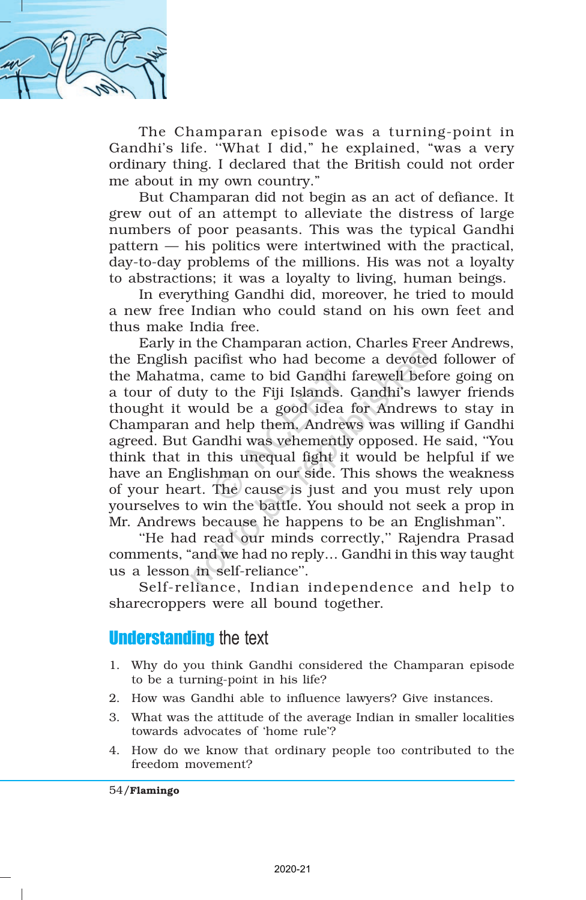

The Champaran episode was a turning-point in Gandhi's life. ''What I did," he explained, "was a very ordinary thing. I declared that the British could not order me about in my own country."

But Champaran did not begin as an act of defiance. It grew out of an attempt to alleviate the distress of large numbers of poor peasants. This was the typical Gandhi pattern — his politics were intertwined with the practical, day-to-day problems of the millions. His was not a loyalty to abstractions; it was a loyalty to living, human beings.

In everything Gandhi did, moreover, he tried to mould a new free Indian who could stand on his own feet and thus make India free.

Early in the Champaran action, Charles Freer Andrews, the English pacifist who had become a devoted follower of the Mahatma, came to bid Gandhi farewell before going on a tour of duty to the Fiji Islands. Gandhi's lawyer friends thought it would be a good idea for Andrews to stay in Champaran and help them. Andrews was willing if Gandhi agreed. But Gandhi was vehemently opposed. He said, ''You think that in this unequal fight it would be helpful if we have an Englishman on our side. This shows the weakness of your heart. The cause is just and you must rely upon yourselves to win the battle. You should not seek a prop in Mr. Andrews because he happens to be an Englishman''. came to bid Gandhi 1<br>to the Fiji Islands. (<br>ald be a good idea 1<br>d help them. Andrew<br>mdhi was vehemently<br>his unequal fight it<br>hman on our side. The<br>cause is just ar<br>in the battle. You sh<br>ecause he happens t<br>ead our minds c The Champaran action, Charles Fre<br>pacifist who had become a devoted<br>ta, came to bid Gandhi farewell beformed<br>the republished as good idea for Andrews<br>and help them. Andrews was will<br>in Gandhi was vehemently opposed. H<br>in t

''He had read our minds correctly,'' Rajendra Prasad comments, "and we had no reply… Gandhi in this way taught us a lesson in self-reliance''.

Self-reliance, Indian independence and help to sharecroppers were all bound together.

## **Understanding the text**

- 1. Why do you think Gandhi considered the Champaran episode to be a turning-point in his life?
- 2. How was Gandhi able to influence lawyers? Give instances.
- 3. What was the attitude of the average Indian in smaller localities towards advocates of 'home rule'?
- 4. How do we know that ordinary people too contributed to the freedom movement?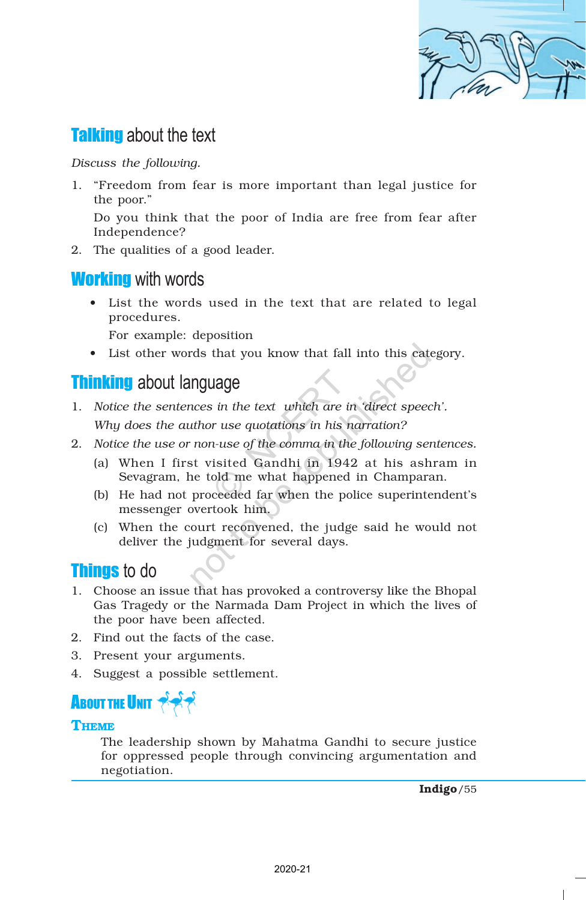

## **Talking about the text**

*Discuss the following.*

1. "Freedom from fear is more important than legal justice for the poor."

Do you think that the poor of India are free from fear after Independence?

2. The qualities of a good leader.

## **Working with words**

List the words used in the text that are related to legal procedures.

For example: deposition

List other words that you know that fall into this category.

## **Thinking about language**

- 1. *Notice the sentences in the text which are in 'direct speech'. Why does the author use quotations in his narration?* rds that you know that fall into this cate<br>
inguage<br>
notices in the text which are in 'direct speed<br>
uthor use quotations in his narration?<br>
ron-use of the comma in the following ser<br>
st visited Gandhi in 1942 at his ash<br>
- 2. *Notice the use or non-use of the comma in the following sentences.*
	- (a) When I first visited Gandhi in 1942 at his ashram in Sevagram, he told me what happened in Champaran.
	- (b) He had not proceeded far when the police superintendent's messenger overtook him.
	- (c) When the court reconvened, the judge said he would not deliver the judgment for several days.

## **Things** to do

- 1. Choose an issue that has provoked a controversy like the Bhopal Gas Tragedy or the Narmada Dam Project in which the lives of the poor have been affected. **Example:**<br>
in the text which are in<br>
in the text which are in<br>
in the same of the comma in the<br>
isited Gandhi in 1942<br>
old me what happened<br>
ceeded far when the pol<br>
took him.<br>
it reconvened, the judge<br>
iment for several
- 2. Find out the facts of the case.
- 3. Present your arguments.
- 4. Suggest a possible settlement.

# **ABOUT THE UNIT ?**

## **THEME**

The leadership shown by Mahatma Gandhi to secure justice for oppressed people through convincing argumentation and negotiation.

Indigo/55